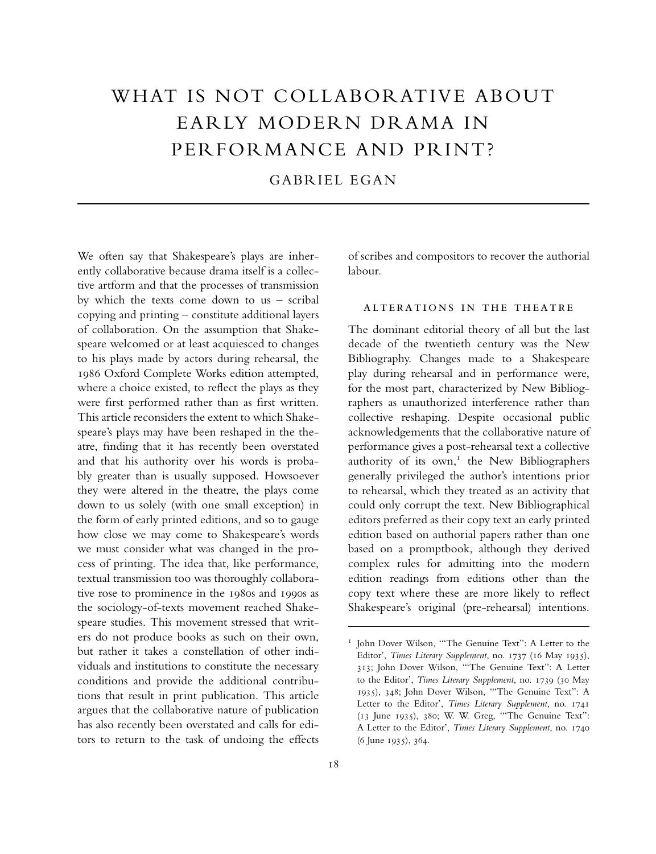## WHAT IS NOT COLLABORATIVE ABOUT EARLY MODERN DRAMA IN PERFORMANCE AND PRINT?

GABRIEL EGAN

We often say that Shakespeare's plays are inherently collaborative because drama itself is a collective artform and that the processes of transmission by which the texts come down to us – scribal copying and printing – constitute additional layers of collaboration. On the assumption that Shakespeare welcomed or at least acquiesced to changes to his plays made by actors during rehearsal, the 1986 Oxford Complete Works edition attempted, where a choice existed, to reflect the plays as they were first performed rather than as first written. This article reconsiders the extent to which Shakespeare's plays may have been reshaped in the theatre, finding that it has recently been overstated and that his authority over his words is probably greater than is usually supposed. Howsoever they were altered in the theatre, the plays come down to us solely (with one small exception) in the form of early printed editions, and so to gauge how close we may come to Shakespeare's words we must consider what was changed in the process of printing. The idea that, like performance, textual transmission too was thoroughly collaborative rose to prominence in the 1980s and 1990s as the sociology-of-texts movement reached Shakespeare studies. This movement stressed that writers do not produce books as such on their own, but rather it takes a constellation of other individuals and institutions to constitute the necessary conditions and provide the additional contributions that result in print publication. This article argues that the collaborative nature of publication has also recently been overstated and calls for editors to return to the task of undoing the effects

of scribes and compositors to recover the authorial labour.

## alterations in the theatre

The dominant editorial theory of all but the last decade of the twentieth century was the New Bibliography. Changes made to a Shakespeare play during rehearsal and in performance were, for the most part, characterized by New Bibliographers as unauthorized interference rather than collective reshaping. Despite occasional public acknowledgements that the collaborative nature of performance gives a post-rehearsal text a collective authority of its own, $<sup>I</sup>$  the New Bibliographers</sup> generally privileged the author's intentions prior to rehearsal, which they treated as an activity that could only corrupt the text. New Bibliographical editors preferred as their copy text an early printed edition based on authorial papers rather than one based on a promptbook, although they derived complex rules for admitting into the modern edition readings from editions other than the copy text where these are more likely to reflect Shakespeare's original (pre-rehearsal) intentions.

<sup>&</sup>lt;sup>1</sup> John Dover Wilson, "The Genuine Text": A Letter to the Editor', *Times Literary Supplement*, no. 1737 (16 May 1935), 313; John Dover Wilson, '"The Genuine Text": A Letter to the Editor', *Times Literary Supplement*, no. 1739 (30 May 1935), 348; John Dover Wilson, '"The Genuine Text": A Letter to the Editor', *Times Literary Supplement*, no. 1741 (13 June 1935), 380; W. W. Greg, '"The Genuine Text": A Letter to the Editor', *Times Literary Supplement*, no. 1740 (6 June 1935), 364.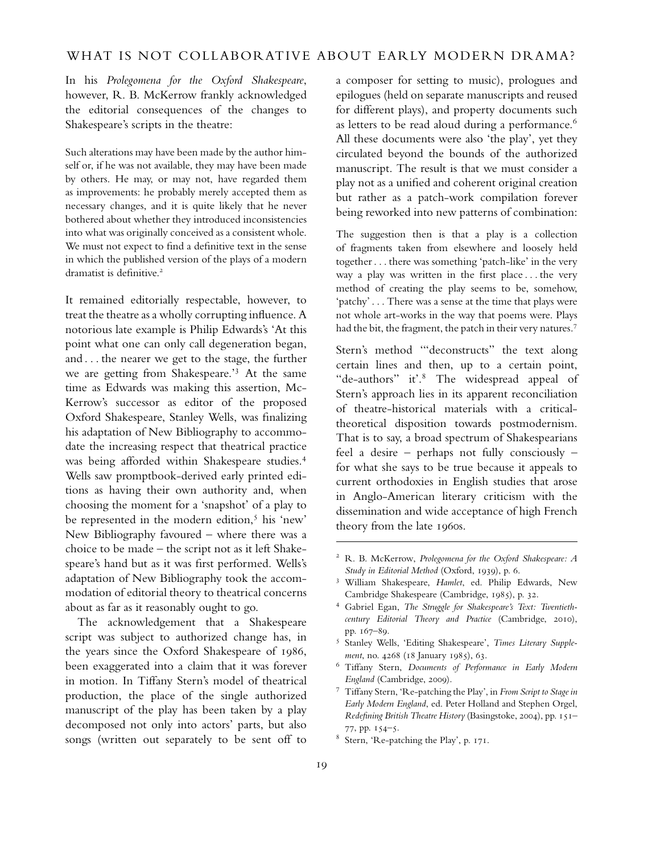In his *Prolegomena for the Oxford Shakespeare*, however, R. B. McKerrow frankly acknowledged the editorial consequences of the changes to Shakespeare's scripts in the theatre:

Such alterations may have been made by the author himself or, if he was not available, they may have been made by others. He may, or may not, have regarded them as improvements: he probably merely accepted them as necessary changes, and it is quite likely that he never bothered about whether they introduced inconsistencies into what was originally conceived as a consistent whole. We must not expect to find a definitive text in the sense in which the published version of the plays of a modern dramatist is definitive.<sup>2</sup>

It remained editorially respectable, however, to treat the theatre as a wholly corrupting influence. A notorious late example is Philip Edwards's 'At this point what one can only call degeneration began, and . . . the nearer we get to the stage, the further we are getting from Shakespeare.'<sup>3</sup> At the same time as Edwards was making this assertion, Mc-Kerrow's successor as editor of the proposed Oxford Shakespeare, Stanley Wells, was finalizing his adaptation of New Bibliography to accommodate the increasing respect that theatrical practice was being afforded within Shakespeare studies.<sup>4</sup> Wells saw promptbook-derived early printed editions as having their own authority and, when choosing the moment for a 'snapshot' of a play to be represented in the modern edition, $5$  his 'new' New Bibliography favoured – where there was a choice to be made – the script not as it left Shakespeare's hand but as it was first performed. Wells's adaptation of New Bibliography took the accommodation of editorial theory to theatrical concerns about as far as it reasonably ought to go.

The acknowledgement that a Shakespeare script was subject to authorized change has, in the years since the Oxford Shakespeare of 1986, been exaggerated into a claim that it was forever in motion. In Tiffany Stern's model of theatrical production, the place of the single authorized manuscript of the play has been taken by a play decomposed not only into actors' parts, but also songs (written out separately to be sent off to a composer for setting to music), prologues and epilogues (held on separate manuscripts and reused for different plays), and property documents such as letters to be read aloud during a performance.<sup>6</sup> All these documents were also 'the play', yet they circulated beyond the bounds of the authorized manuscript. The result is that we must consider a play not as a unified and coherent original creation but rather as a patch-work compilation forever being reworked into new patterns of combination:

The suggestion then is that a play is a collection of fragments taken from elsewhere and loosely held together . . . there was something 'patch-like' in the very way a play was written in the first place . . . the very method of creating the play seems to be, somehow, 'patchy' . . . There was a sense at the time that plays were not whole art-works in the way that poems were. Plays had the bit, the fragment, the patch in their very natures.<sup>7</sup>

Stern's method '"deconstructs" the text along certain lines and then, up to a certain point, "de-authors" it'.<sup>8</sup> The widespread appeal of Stern's approach lies in its apparent reconciliation of theatre-historical materials with a criticaltheoretical disposition towards postmodernism. That is to say, a broad spectrum of Shakespearians feel a desire – perhaps not fully consciously – for what she says to be true because it appeals to current orthodoxies in English studies that arose in Anglo-American literary criticism with the dissemination and wide acceptance of high French theory from the late 1960s.

- <sup>5</sup> Stanley Wells, 'Editing Shakespeare', *Times Literary Supplement*, no. 4268 (18 January 1985), 63.
- <sup>6</sup> Tiffany Stern, *Documents of Performance in Early Modern England* (Cambridge, 2009).
- <sup>7</sup> Tiffany Stern, 'Re-patching the Play', in *From Script to Stage in Early Modern England*, ed. Peter Holland and Stephen Orgel, *Redefining British Theatre History* (Basingstoke, 2004), pp. 151– 77, pp. 154–5.
- <sup>8</sup> Stern, 'Re-patching the Play', p. 171.

<sup>2</sup> R. B. McKerrow, *Prolegomena for the Oxford Shakespeare: A Study in Editorial Method* (Oxford, 1939), p. 6.

<sup>3</sup> William Shakespeare, *Hamlet*, ed. Philip Edwards, New Cambridge Shakespeare (Cambridge, 1985), p. 32.

<sup>4</sup> Gabriel Egan, *The Struggle for Shakespeare's Text: Twentiethcentury Editorial Theory and Practice* (Cambridge, 2010), pp. 167–89.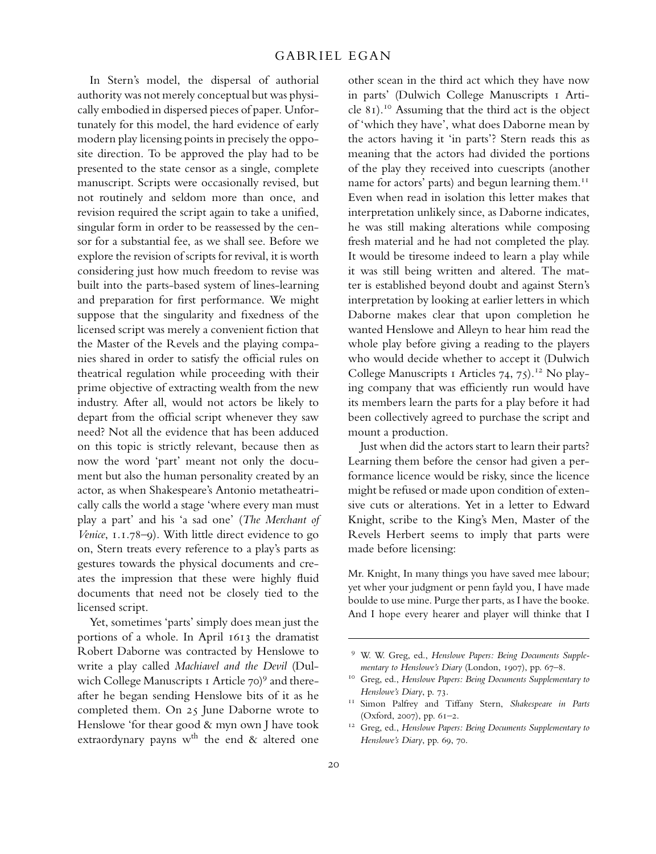In Stern's model, the dispersal of authorial authority was not merely conceptual but was physically embodied in dispersed pieces of paper. Unfortunately for this model, the hard evidence of early modern play licensing points in precisely the opposite direction. To be approved the play had to be presented to the state censor as a single, complete manuscript. Scripts were occasionally revised, but not routinely and seldom more than once, and revision required the script again to take a unified, singular form in order to be reassessed by the censor for a substantial fee, as we shall see. Before we explore the revision of scripts for revival, it is worth considering just how much freedom to revise was built into the parts-based system of lines-learning and preparation for first performance. We might suppose that the singularity and fixedness of the licensed script was merely a convenient fiction that the Master of the Revels and the playing companies shared in order to satisfy the official rules on theatrical regulation while proceeding with their prime objective of extracting wealth from the new industry. After all, would not actors be likely to depart from the official script whenever they saw need? Not all the evidence that has been adduced on this topic is strictly relevant, because then as now the word 'part' meant not only the document but also the human personality created by an actor, as when Shakespeare's Antonio metatheatrically calls the world a stage 'where every man must play a part' and his 'a sad one' (*The Merchant of Venice*, 1.1.78–9). With little direct evidence to go on, Stern treats every reference to a play's parts as gestures towards the physical documents and creates the impression that these were highly fluid documents that need not be closely tied to the licensed script.

Yet, sometimes 'parts' simply does mean just the portions of a whole. In April 1613 the dramatist Robert Daborne was contracted by Henslowe to write a play called *Machiavel and the Devil* (Dulwich College Manuscripts 1 Article 70)<sup>9</sup> and thereafter he began sending Henslowe bits of it as he completed them. On 25 June Daborne wrote to Henslowe 'for thear good & myn own J have took extraordynary payns w<sup>th</sup> the end  $\&$  altered one

other scean in the third act which they have now in parts' (Dulwich College Manuscripts 1 Article  $81$ ).<sup>10</sup> Assuming that the third act is the object of 'which they have', what does Daborne mean by the actors having it 'in parts'? Stern reads this as meaning that the actors had divided the portions of the play they received into cuescripts (another name for actors' parts) and begun learning them.<sup>11</sup> Even when read in isolation this letter makes that interpretation unlikely since, as Daborne indicates, he was still making alterations while composing fresh material and he had not completed the play. It would be tiresome indeed to learn a play while it was still being written and altered. The matter is established beyond doubt and against Stern's interpretation by looking at earlier letters in which Daborne makes clear that upon completion he wanted Henslowe and Alleyn to hear him read the whole play before giving a reading to the players who would decide whether to accept it (Dulwich College Manuscripts 1 Articles  $74, 75$ .<sup>12</sup> No playing company that was efficiently run would have its members learn the parts for a play before it had been collectively agreed to purchase the script and mount a production.

Just when did the actors start to learn their parts? Learning them before the censor had given a performance licence would be risky, since the licence might be refused or made upon condition of extensive cuts or alterations. Yet in a letter to Edward Knight, scribe to the King's Men, Master of the Revels Herbert seems to imply that parts were made before licensing:

Mr. Knight, In many things you have saved mee labour; yet wher your judgment or penn fayld you, I have made boulde to use mine. Purge ther parts, as I have the booke. And I hope every hearer and player will thinke that I

<sup>9</sup> W. W. Greg, ed., *Henslowe Papers: Being Documents Supplementary to Henslowe's Diary* (London, 1907), pp. 67–8.

<sup>10</sup> Greg, ed., *Henslowe Papers: Being Documents Supplementary to Henslowe's Diary*, p. 73.

<sup>11</sup> Simon Palfrey and Tiffany Stern, *Shakespeare in Parts* (Oxford, 2007), pp. 61–2.

<sup>12</sup> Greg, ed., *Henslowe Papers: Being Documents Supplementary to Henslowe's Diary*, pp. 69, 70.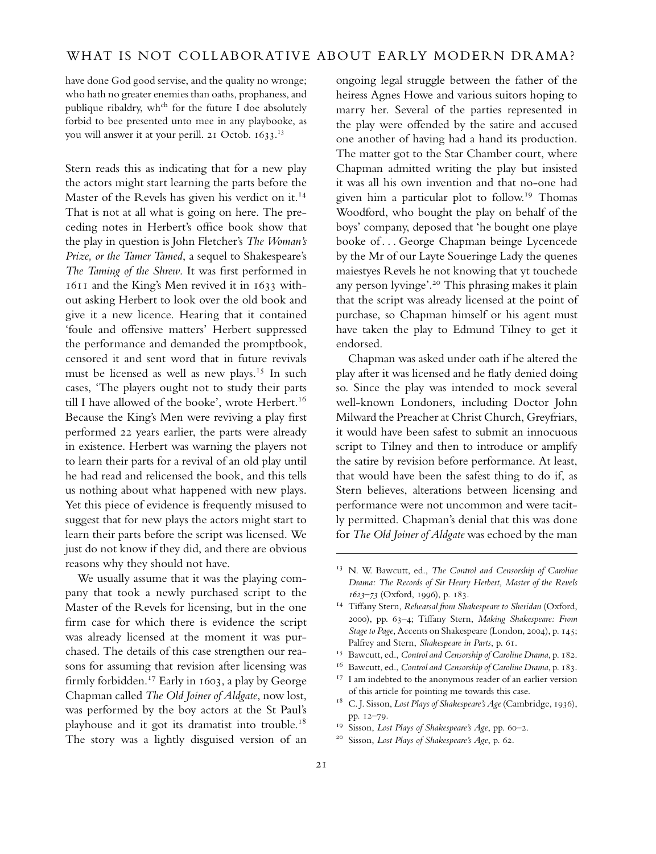have done God good servise, and the quality no wronge; who hath no greater enemies than oaths, prophaness, and publique ribaldry, wh<sup>ch</sup> for the future I doe absolutely forbid to bee presented unto mee in any playbooke, as you will answer it at your perill. 21 Octob. 1633. 13

Stern reads this as indicating that for a new play the actors might start learning the parts before the Master of the Revels has given his verdict on it.<sup>14</sup> That is not at all what is going on here. The preceding notes in Herbert's office book show that the play in question is John Fletcher's *The Woman's Prize, or the Tamer Tamed*, a sequel to Shakespeare's *The Taming of the Shrew*. It was first performed in 1611 and the King's Men revived it in 1633 without asking Herbert to look over the old book and give it a new licence. Hearing that it contained 'foule and offensive matters' Herbert suppressed the performance and demanded the promptbook, censored it and sent word that in future revivals must be licensed as well as new plays.<sup>15</sup> In such cases, 'The players ought not to study their parts till I have allowed of the booke', wrote Herbert.<sup>16</sup> Because the King's Men were reviving a play first performed 22 years earlier, the parts were already in existence. Herbert was warning the players not to learn their parts for a revival of an old play until he had read and relicensed the book, and this tells us nothing about what happened with new plays. Yet this piece of evidence is frequently misused to suggest that for new plays the actors might start to learn their parts before the script was licensed. We just do not know if they did, and there are obvious reasons why they should not have.

We usually assume that it was the playing company that took a newly purchased script to the Master of the Revels for licensing, but in the one firm case for which there is evidence the script was already licensed at the moment it was purchased. The details of this case strengthen our reasons for assuming that revision after licensing was firmly forbidden.<sup>17</sup> Early in 1603, a play by George Chapman called *The Old Joiner of Aldgate*, now lost, was performed by the boy actors at the St Paul's playhouse and it got its dramatist into trouble.<sup>18</sup> The story was a lightly disguised version of an

ongoing legal struggle between the father of the heiress Agnes Howe and various suitors hoping to marry her. Several of the parties represented in the play were offended by the satire and accused one another of having had a hand its production. The matter got to the Star Chamber court, where Chapman admitted writing the play but insisted it was all his own invention and that no-one had given him a particular plot to follow.<sup>19</sup> Thomas Woodford, who bought the play on behalf of the boys' company, deposed that 'he bought one playe booke of . . . George Chapman beinge Lycencede by the Mr of our Layte Soueringe Lady the quenes maiestyes Revels he not knowing that yt touchede any person lyvinge'.<sup>20</sup> This phrasing makes it plain that the script was already licensed at the point of purchase, so Chapman himself or his agent must have taken the play to Edmund Tilney to get it endorsed.

Chapman was asked under oath if he altered the play after it was licensed and he flatly denied doing so. Since the play was intended to mock several well-known Londoners, including Doctor John Milward the Preacher at Christ Church, Greyfriars, it would have been safest to submit an innocuous script to Tilney and then to introduce or amplify the satire by revision before performance. At least, that would have been the safest thing to do if, as Stern believes, alterations between licensing and performance were not uncommon and were tacitly permitted. Chapman's denial that this was done for *The Old Joiner of Aldgate* was echoed by the man

<sup>13</sup> N. W. Bawcutt, ed., *The Control and Censorship of Caroline Drama: The Records of Sir Henry Herbert, Master of the Revels 1623–73* (Oxford, 1996), p. 183.

<sup>14</sup> Tiffany Stern, *Rehearsal from Shakespeare to Sheridan* (Oxford, 2000), pp. 63–4; Tiffany Stern, *Making Shakespeare: From Stage to Page*, Accents on Shakespeare (London, 2004), p. 145; Palfrey and Stern, *Shakespeare in Parts*, p. 61.

<sup>&</sup>lt;sup>15</sup> Bawcutt, ed., *Control and Censorship of Caroline Drama*, p. 182.

<sup>16</sup> Bawcutt, ed., *Control and Censorship of Caroline Drama*, p. 183.

<sup>&</sup>lt;sup>17</sup> I am indebted to the anonymous reader of an earlier version of this article for pointing me towards this case.

<sup>18</sup> C. J. Sisson, *Lost Plays of Shakespeare's Age* (Cambridge, 1936), pp. 12–79.

<sup>19</sup> Sisson, *Lost Plays of Shakespeare's Age*, pp. 60–2.

<sup>20</sup> Sisson, *Lost Plays of Shakespeare's Age*, p. 62.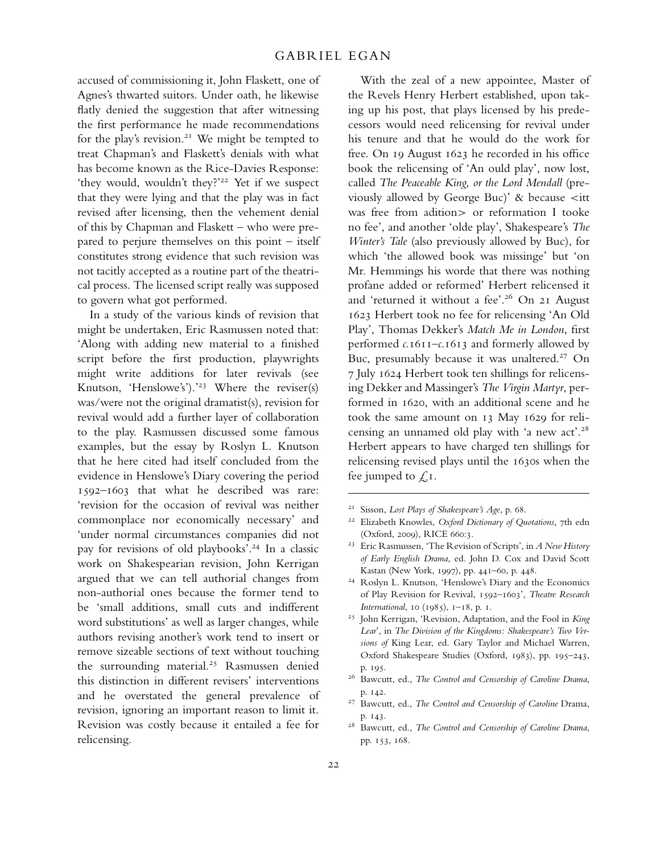accused of commissioning it, John Flaskett, one of Agnes's thwarted suitors. Under oath, he likewise flatly denied the suggestion that after witnessing the first performance he made recommendations for the play's revision.<sup>21</sup> We might be tempted to treat Chapman's and Flaskett's denials with what has become known as the Rice-Davies Response: 'they would, wouldn't they?'<sup>22</sup> Yet if we suspect that they were lying and that the play was in fact revised after licensing, then the vehement denial of this by Chapman and Flaskett – who were prepared to perjure themselves on this point – itself constitutes strong evidence that such revision was not tacitly accepted as a routine part of the theatrical process. The licensed script really was supposed to govern what got performed.

In a study of the various kinds of revision that might be undertaken, Eric Rasmussen noted that: 'Along with adding new material to a finished script before the first production, playwrights might write additions for later revivals (see Knutson, 'Henslowe's').'<sup>23</sup> Where the reviser(s) was/were not the original dramatist(s), revision for revival would add a further layer of collaboration to the play. Rasmussen discussed some famous examples, but the essay by Roslyn L. Knutson that he here cited had itself concluded from the evidence in Henslowe's Diary covering the period 1592–1603 that what he described was rare: 'revision for the occasion of revival was neither commonplace nor economically necessary' and 'under normal circumstances companies did not pay for revisions of old playbooks'.<sup>24</sup> In a classic work on Shakespearian revision, John Kerrigan argued that we can tell authorial changes from non-authorial ones because the former tend to be 'small additions, small cuts and indifferent word substitutions' as well as larger changes, while authors revising another's work tend to insert or remove sizeable sections of text without touching the surrounding material.<sup>25</sup> Rasmussen denied this distinction in different revisers' interventions and he overstated the general prevalence of revision, ignoring an important reason to limit it. Revision was costly because it entailed a fee for relicensing.

With the zeal of a new appointee, Master of the Revels Henry Herbert established, upon taking up his post, that plays licensed by his predecessors would need relicensing for revival under his tenure and that he would do the work for free. On 19 August 1623 he recorded in his office book the relicensing of 'An ould play', now lost, called *The Peaceable King, or the Lord Mendall* (previously allowed by George Buc)' & because  $\lt$ itt was free from adition> or reformation I tooke no fee', and another 'olde play', Shakespeare's *The Winter's Tale* (also previously allowed by Buc), for which 'the allowed book was missinge' but 'on Mr. Hemmings his worde that there was nothing profane added or reformed' Herbert relicensed it and 'returned it without a fee'.<sup>26</sup> On 21 August 1623 Herbert took no fee for relicensing 'An Old Play', Thomas Dekker's *Match Me in London*, first performed *c*.1611–*c*.1613 and formerly allowed by Buc, presumably because it was unaltered.<sup>27</sup> On 7 July 1624 Herbert took ten shillings for relicensing Dekker and Massinger's *The Virgin Martyr*, performed in 1620, with an additional scene and he took the same amount on 13 May 1629 for relicensing an unnamed old play with 'a new act'.<sup>28</sup> Herbert appears to have charged ten shillings for relicensing revised plays until the 1630s when the fee jumped to  $\int$ , I.

<sup>21</sup> Sisson, *Lost Plays of Shakespeare's Age*, p. 68.

<sup>22</sup> Elizabeth Knowles, *Oxford Dictionary of Quotations*, 7th edn (Oxford, 2009), RICE 660:3.

<sup>23</sup> Eric Rasmussen, 'The Revision of Scripts', in *A New History of Early English Drama*, ed. John D. Cox and David Scott Kastan (New York, 1997), pp. 441–60, p. 448.

<sup>24</sup> Roslyn L. Knutson, 'Henslowe's Diary and the Economics of Play Revision for Revival, 1592–1603', *Theatre Research International*, 10 (1985), 1–18, p. 1.

<sup>25</sup> John Kerrigan, 'Revision, Adaptation, and the Fool in *King Lear*', in *The Division of the Kingdoms: Shakespeare's Two Versions of* King Lear, ed. Gary Taylor and Michael Warren, Oxford Shakespeare Studies (Oxford, 1983), pp. 195–243, p. 195.

<sup>26</sup> Bawcutt, ed., *The Control and Censorship of Caroline Drama*, p. 142.

<sup>27</sup> Bawcutt, ed., *The Control and Censorship of Caroline* Drama, p. 143.

<sup>28</sup> Bawcutt, ed., *The Control and Censorship of Caroline Drama*, pp. 153, 168.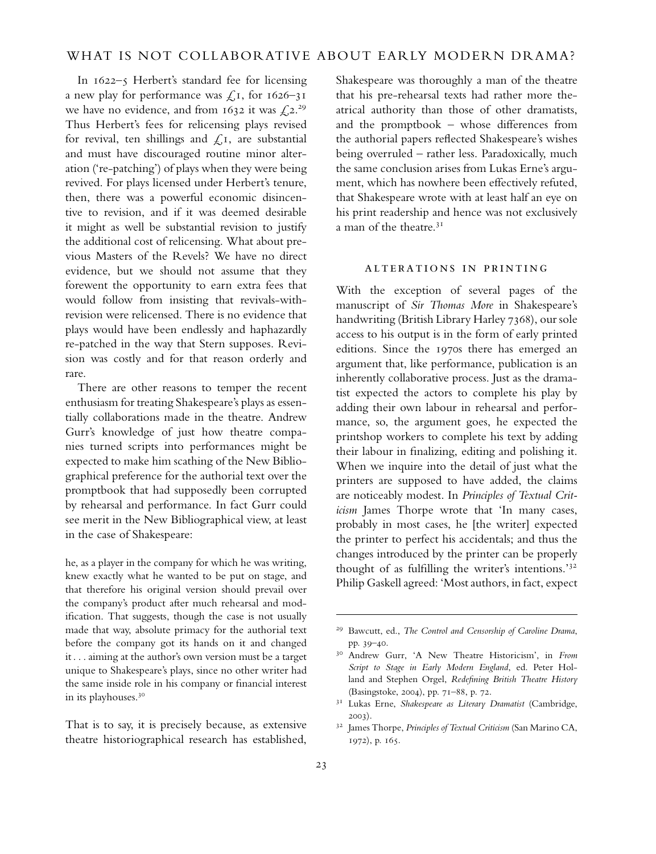In 1622–5 Herbert's standard fee for licensing a new play for performance was  $\zeta_1$ , for 1626–31 we have no evidence, and from 1632 it was  $\mathcal{L}^{2.29}$ Thus Herbert's fees for relicensing plays revised for revival, ten shillings and  $\int$ , I, are substantial and must have discouraged routine minor alteration ('re-patching') of plays when they were being revived. For plays licensed under Herbert's tenure, then, there was a powerful economic disincentive to revision, and if it was deemed desirable it might as well be substantial revision to justify the additional cost of relicensing. What about previous Masters of the Revels? We have no direct evidence, but we should not assume that they forewent the opportunity to earn extra fees that would follow from insisting that revivals-withrevision were relicensed. There is no evidence that plays would have been endlessly and haphazardly re-patched in the way that Stern supposes. Revision was costly and for that reason orderly and rare.

There are other reasons to temper the recent enthusiasm for treating Shakespeare's plays as essentially collaborations made in the theatre. Andrew Gurr's knowledge of just how theatre companies turned scripts into performances might be expected to make him scathing of the New Bibliographical preference for the authorial text over the promptbook that had supposedly been corrupted by rehearsal and performance. In fact Gurr could see merit in the New Bibliographical view, at least in the case of Shakespeare:

he, as a player in the company for which he was writing, knew exactly what he wanted to be put on stage, and that therefore his original version should prevail over the company's product after much rehearsal and modification. That suggests, though the case is not usually made that way, absolute primacy for the authorial text before the company got its hands on it and changed it . . . aiming at the author's own version must be a target unique to Shakespeare's plays, since no other writer had the same inside role in his company or financial interest in its playhouses.<sup>30</sup>

That is to say, it is precisely because, as extensive theatre historiographical research has established, Shakespeare was thoroughly a man of the theatre that his pre-rehearsal texts had rather more theatrical authority than those of other dramatists, and the promptbook – whose differences from the authorial papers reflected Shakespeare's wishes being overruled – rather less. Paradoxically, much the same conclusion arises from Lukas Erne's argument, which has nowhere been effectively refuted, that Shakespeare wrote with at least half an eye on his print readership and hence was not exclusively a man of the theatre.<sup>31</sup>

## alterations in printing

With the exception of several pages of the manuscript of *Sir Thomas More* in Shakespeare's handwriting (British Library Harley 7368), our sole access to his output is in the form of early printed editions. Since the 1970s there has emerged an argument that, like performance, publication is an inherently collaborative process. Just as the dramatist expected the actors to complete his play by adding their own labour in rehearsal and performance, so, the argument goes, he expected the printshop workers to complete his text by adding their labour in finalizing, editing and polishing it. When we inquire into the detail of just what the printers are supposed to have added, the claims are noticeably modest. In *Principles of Textual Criticism* James Thorpe wrote that 'In many cases, probably in most cases, he [the writer] expected the printer to perfect his accidentals; and thus the changes introduced by the printer can be properly thought of as fulfilling the writer's intentions.'<sup>32</sup> Philip Gaskell agreed: 'Most authors, in fact, expect

<sup>29</sup> Bawcutt, ed., *The Control and Censorship of Caroline Drama*, pp. 39–40.

<sup>30</sup> Andrew Gurr, 'A New Theatre Historicism', in *From Script to Stage in Early Modern England*, ed. Peter Holland and Stephen Orgel, *Redefining British Theatre History* (Basingstoke, 2004), pp. 71–88, p. 72.

<sup>31</sup> Lukas Erne, *Shakespeare as Literary Dramatist* (Cambridge, 2003).

<sup>32</sup> James Thorpe, *Principles of Textual Criticism* (San Marino CA, 1972), p. 165.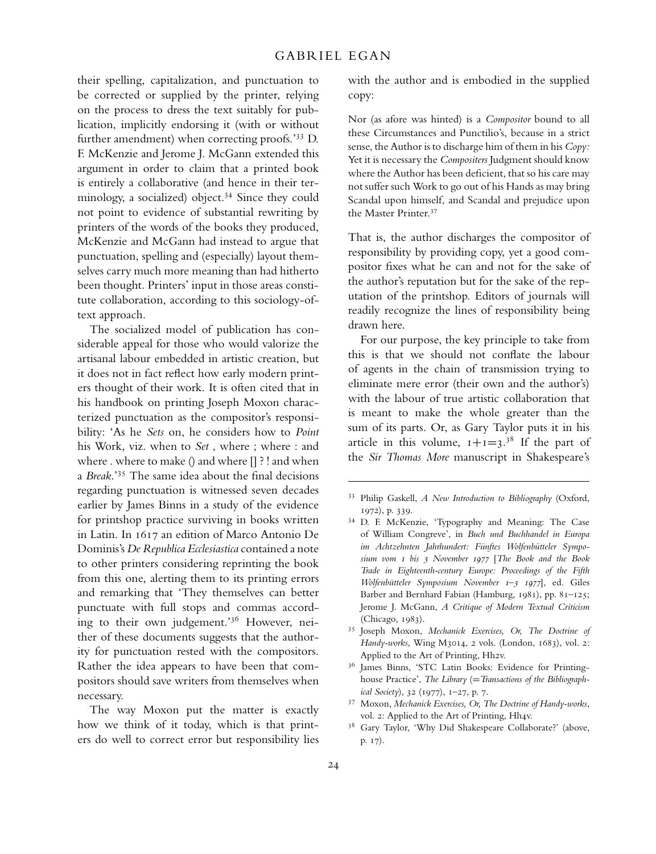their spelling, capitalization, and punctuation to be corrected or supplied by the printer, relying on the process to dress the text suitably for publication, implicitly endorsing it (with or without further amendment) when correcting proofs.'<sup>33</sup> D. F. McKenzie and Jerome J. McGann extended this argument in order to claim that a printed book is entirely a collaborative (and hence in their terminology, a socialized) object.<sup>34</sup> Since they could not point to evidence of substantial rewriting by printers of the words of the books they produced, McKenzie and McGann had instead to argue that punctuation, spelling and (especially) layout themselves carry much more meaning than had hitherto been thought. Printers' input in those areas constitute collaboration, according to this sociology-oftext approach.

The socialized model of publication has considerable appeal for those who would valorize the artisanal labour embedded in artistic creation, but it does not in fact reflect how early modern printers thought of their work. It is often cited that in his handbook on printing Joseph Moxon characterized punctuation as the compositor's responsibility: 'As he *Sets* on, he considers how to *Point* his Work, viz. when to *Set* , where ; where : and where . where to make () and where  $\prod$  ? ! and when a *Break*.'<sup>35</sup> The same idea about the final decisions regarding punctuation is witnessed seven decades earlier by James Binns in a study of the evidence for printshop practice surviving in books written in Latin. In 1617 an edition of Marco Antonio De Dominis's *De Republica Ecclesiastica* contained a note to other printers considering reprinting the book from this one, alerting them to its printing errors and remarking that 'They themselves can better punctuate with full stops and commas according to their own judgement.'<sup>36</sup> However, neither of these documents suggests that the authority for punctuation rested with the compositors. Rather the idea appears to have been that compositors should save writers from themselves when necessary.

The way Moxon put the matter is exactly how we think of it today, which is that printers do well to correct error but responsibility lies with the author and is embodied in the supplied copy:

Nor (as afore was hinted) is a *Compositor* bound to all these Circumstances and Punctilio's, because in a strict sense, the Author is to discharge him of them in his *Copy:* Yet it is necessary the *Compositers* Judgment should know where the Author has been deficient, that so his care may not suffer such Work to go out of his Hands as may bring Scandal upon himself, and Scandal and prejudice upon the Master Printer.<sup>37</sup>

That is, the author discharges the compositor of responsibility by providing copy, yet a good compositor fixes what he can and not for the sake of the author's reputation but for the sake of the reputation of the printshop. Editors of journals will readily recognize the lines of responsibility being drawn here.

For our purpose, the key principle to take from this is that we should not conflate the labour of agents in the chain of transmission trying to eliminate mere error (their own and the author's) with the labour of true artistic collaboration that is meant to make the whole greater than the sum of its parts. Or, as Gary Taylor puts it in his article in this volume,  $1+1=3.^{38}$  If the part of the *Sir Thomas More* manuscript in Shakespeare's

- <sup>36</sup> James Binns, 'STC Latin Books: Evidence for Printinghouse Practice', The Library (= Transactions of the Bibliograph*ical Society*), 32 (1977), 1–27, p. 7.
- <sup>37</sup> Moxon, *Mechanick Exercises, Or, The Doctrine of Handy-works*, vol. 2: Applied to the Art of Printing, Hh4v.
- <sup>38</sup> Gary Taylor, 'Why Did Shakespeare Collaborate?' (above, p. 17).

<sup>33</sup> Philip Gaskell, *A New Introduction to Bibliography* (Oxford, 1972), p. 339.

<sup>34</sup> D. F. McKenzie, 'Typography and Meaning: The Case of William Congreve', in *Buch und Buchhandel in Europa im Achtzehnten Jahrhundert: Fünftes Wolfenbütteler Symposium vom 1 bis 3 November 1977* [*The Book and the Book Trade in Eighteenth-century Europe: Proceedings of the Fifth Wolfenbütteler Symposium November 1–3 1977*], ed. Giles Barber and Bernhard Fabian (Hamburg, 1981), pp. 81–125; Jerome J. McGann, *A Critique of Modern Textual Criticism* (Chicago, 1983).

<sup>35</sup> Joseph Moxon, *Mechanick Exercises, Or, The Doctrine of Handy-works*, Wing M3014, 2 vols. (London, 1683), vol. 2: Applied to the Art of Printing, Hh2v.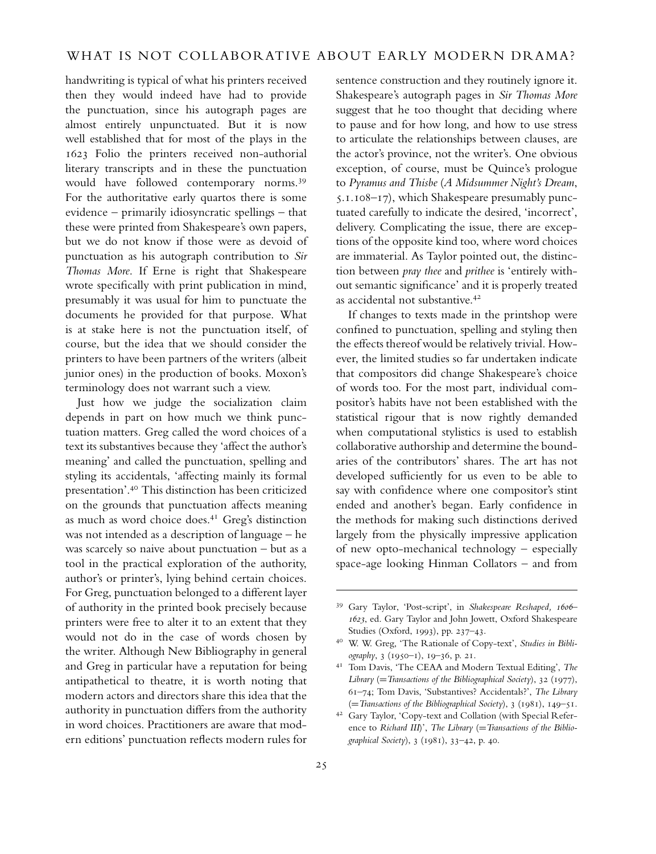handwriting is typical of what his printers received then they would indeed have had to provide the punctuation, since his autograph pages are almost entirely unpunctuated. But it is now well established that for most of the plays in the 1623 Folio the printers received non-authorial literary transcripts and in these the punctuation would have followed contemporary norms.<sup>39</sup> For the authoritative early quartos there is some evidence – primarily idiosyncratic spellings – that these were printed from Shakespeare's own papers, but we do not know if those were as devoid of punctuation as his autograph contribution to *Sir Thomas More*. If Erne is right that Shakespeare wrote specifically with print publication in mind, presumably it was usual for him to punctuate the documents he provided for that purpose. What is at stake here is not the punctuation itself, of course, but the idea that we should consider the printers to have been partners of the writers (albeit junior ones) in the production of books. Moxon's terminology does not warrant such a view.

Just how we judge the socialization claim depends in part on how much we think punctuation matters. Greg called the word choices of a text its substantives because they 'affect the author's meaning' and called the punctuation, spelling and styling its accidentals, 'affecting mainly its formal presentation'.<sup>40</sup> This distinction has been criticized on the grounds that punctuation affects meaning as much as word choice does.<sup>41</sup> Greg's distinction was not intended as a description of language – he was scarcely so naive about punctuation – but as a tool in the practical exploration of the authority, author's or printer's, lying behind certain choices. For Greg, punctuation belonged to a different layer of authority in the printed book precisely because printers were free to alter it to an extent that they would not do in the case of words chosen by the writer. Although New Bibliography in general and Greg in particular have a reputation for being antipathetical to theatre, it is worth noting that modern actors and directors share this idea that the authority in punctuation differs from the authority in word choices. Practitioners are aware that modern editions' punctuation reflects modern rules for

sentence construction and they routinely ignore it. Shakespeare's autograph pages in *Sir Thomas More* suggest that he too thought that deciding where to pause and for how long, and how to use stress to articulate the relationships between clauses, are the actor's province, not the writer's. One obvious exception, of course, must be Quince's prologue to *Pyramus and Thisbe* (*A Midsummer Night's Dream*, 5.1.108–17), which Shakespeare presumably punctuated carefully to indicate the desired, 'incorrect', delivery. Complicating the issue, there are exceptions of the opposite kind too, where word choices are immaterial. As Taylor pointed out, the distinction between *pray thee* and *prithee* is 'entirely without semantic significance' and it is properly treated as accidental not substantive.<sup>42</sup>

If changes to texts made in the printshop were confined to punctuation, spelling and styling then the effects thereof would be relatively trivial. However, the limited studies so far undertaken indicate that compositors did change Shakespeare's choice of words too. For the most part, individual compositor's habits have not been established with the statistical rigour that is now rightly demanded when computational stylistics is used to establish collaborative authorship and determine the boundaries of the contributors' shares. The art has not developed sufficiently for us even to be able to say with confidence where one compositor's stint ended and another's began. Early confidence in the methods for making such distinctions derived largely from the physically impressive application of new opto-mechanical technology – especially space-age looking Hinman Collators – and from

<sup>39</sup> Gary Taylor, 'Post-script', in *Shakespeare Reshaped, 1606– 1623*, ed. Gary Taylor and John Jowett, Oxford Shakespeare Studies (Oxford, 1993), pp. 237–43.

<sup>40</sup> W. W. Greg, 'The Rationale of Copy-text', *Studies in Bibliography*, 3 (1950–1), 19–36, p. 21.

<sup>41</sup> Tom Davis, 'The CEAA and Modern Textual Editing', *The Library* (= *Transactions of the Bibliographical Society*), 32 (1977), 61–74; Tom Davis, 'Substantives? Accidentals?', *The Library*

<sup>(</sup>=*Transactions of the Bibliographical Society*), <sup>3</sup> (1981), <sup>149</sup>–51. <sup>42</sup> Gary Taylor, 'Copy-text and Collation (with Special Reference to *Richard III*)', *The Library* (= *Transactions of the Bibliographical Society*), 3 (1981), 33–42, p. 40.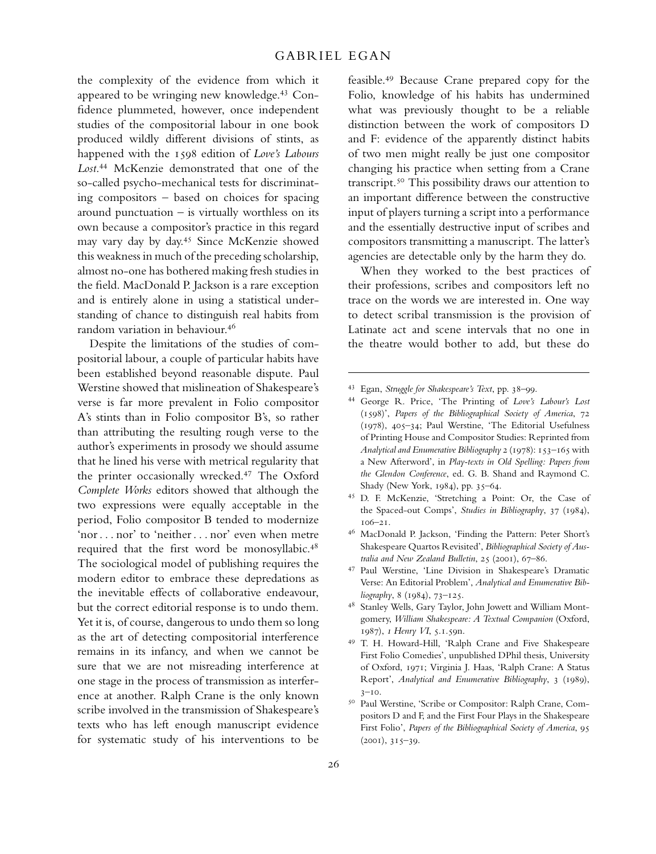the complexity of the evidence from which it appeared to be wringing new knowledge.<sup>43</sup> Confidence plummeted, however, once independent studies of the compositorial labour in one book produced wildly different divisions of stints, as happened with the 1598 edition of *Love's Labours Lost*. <sup>44</sup> McKenzie demonstrated that one of the so-called psycho-mechanical tests for discriminating compositors – based on choices for spacing around punctuation – is virtually worthless on its own because a compositor's practice in this regard may vary day by day.<sup>45</sup> Since McKenzie showed this weakness in much of the preceding scholarship, almost no-one has bothered making fresh studies in the field. MacDonald P. Jackson is a rare exception and is entirely alone in using a statistical understanding of chance to distinguish real habits from random variation in behaviour.<sup>46</sup>

Despite the limitations of the studies of compositorial labour, a couple of particular habits have been established beyond reasonable dispute. Paul Werstine showed that mislineation of Shakespeare's verse is far more prevalent in Folio compositor A's stints than in Folio compositor B's, so rather than attributing the resulting rough verse to the author's experiments in prosody we should assume that he lined his verse with metrical regularity that the printer occasionally wrecked.<sup>47</sup> The Oxford *Complete Works* editors showed that although the two expressions were equally acceptable in the period, Folio compositor B tended to modernize 'nor . . . nor' to 'neither . . . nor' even when metre required that the first word be monosyllabic.<sup>48</sup> The sociological model of publishing requires the modern editor to embrace these depredations as the inevitable effects of collaborative endeavour, but the correct editorial response is to undo them. Yet it is, of course, dangerous to undo them so long as the art of detecting compositorial interference remains in its infancy, and when we cannot be sure that we are not misreading interference at one stage in the process of transmission as interference at another. Ralph Crane is the only known scribe involved in the transmission of Shakespeare's texts who has left enough manuscript evidence for systematic study of his interventions to be

feasible.<sup>49</sup> Because Crane prepared copy for the Folio, knowledge of his habits has undermined what was previously thought to be a reliable distinction between the work of compositors D and F: evidence of the apparently distinct habits of two men might really be just one compositor changing his practice when setting from a Crane transcript.<sup>50</sup> This possibility draws our attention to an important difference between the constructive input of players turning a script into a performance and the essentially destructive input of scribes and compositors transmitting a manuscript. The latter's agencies are detectable only by the harm they do.

When they worked to the best practices of their professions, scribes and compositors left no trace on the words we are interested in. One way to detect scribal transmission is the provision of Latinate act and scene intervals that no one in the theatre would bother to add, but these do

- <sup>46</sup> MacDonald P. Jackson, 'Finding the Pattern: Peter Short's Shakespeare Quartos Revisited', *Bibliographical Society of Australia and New Zealand Bulletin*, 25 (2001), 67–86.
- <sup>47</sup> Paul Werstine, 'Line Division in Shakespeare's Dramatic Verse: An Editorial Problem', *Analytical and Enumerative Bibliography*, 8 (1984), 73–125.
- <sup>48</sup> Stanley Wells, Gary Taylor, John Jowett and William Montgomery, *William Shakespeare: A Textual Companion* (Oxford, 1987), *1 Henry VI*, 5.1.59n.
- <sup>49</sup> T. H. Howard-Hill, 'Ralph Crane and Five Shakespeare First Folio Comedies', unpublished DPhil thesis, University of Oxford, 1971; Virginia J. Haas, 'Ralph Crane: A Status Report', *Analytical and Enumerative Bibliography*, 3 (1989), 3–10.
- <sup>50</sup> Paul Werstine, 'Scribe or Compositor: Ralph Crane, Compositors D and F, and the First Four Plays in the Shakespeare First Folio', *Papers of the Bibliographical Society of America*, 95 (2001), 315–39.

<sup>43</sup> Egan, *Struggle for Shakespeare's Text*, pp. 38–99.

<sup>44</sup> George R. Price, 'The Printing of *Love's Labour's Lost* (1598)', *Papers of the Bibliographical Society of America*, 72 (1978), 405–34; Paul Werstine, 'The Editorial Usefulness of Printing House and Compositor Studies: Reprinted from *Analytical and Enumerative Bibliography* 2 (1978): 153–165 with a New Afterword', in *Play-texts in Old Spelling: Papers from the Glendon Conference*, ed. G. B. Shand and Raymond C. Shady (New York, 1984), pp. 35–64.

<sup>45</sup> D. F. McKenzie, 'Stretching a Point: Or, the Case of the Spaced-out Comps', *Studies in Bibliography*, 37 (1984), 106–21.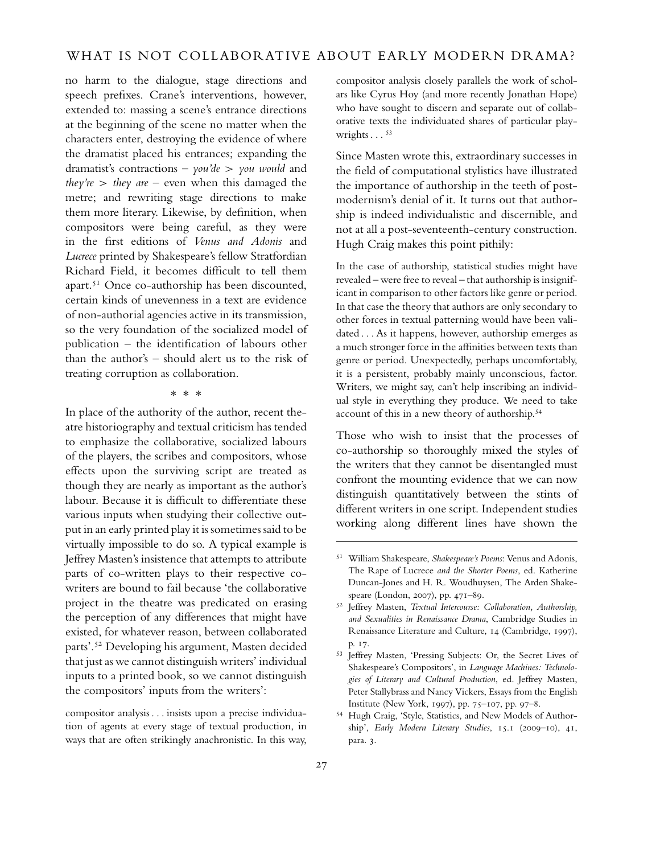no harm to the dialogue, stage directions and speech prefixes. Crane's interventions, however, extended to: massing a scene's entrance directions at the beginning of the scene no matter when the characters enter, destroying the evidence of where the dramatist placed his entrances; expanding the dramatist's contractions – *you'de* > *you would* and *they're* > *they are* – even when this damaged the metre; and rewriting stage directions to make them more literary. Likewise, by definition, when compositors were being careful, as they were in the first editions of *Venus and Adonis* and *Lucrece* printed by Shakespeare's fellow Stratfordian Richard Field, it becomes difficult to tell them apart.<sup>51</sup> Once co-authorship has been discounted, certain kinds of unevenness in a text are evidence of non-authorial agencies active in its transmission, so the very foundation of the socialized model of publication – the identification of labours other than the author's – should alert us to the risk of treating corruption as collaboration.

∗∗∗

In place of the authority of the author, recent theatre historiography and textual criticism has tended to emphasize the collaborative, socialized labours of the players, the scribes and compositors, whose effects upon the surviving script are treated as though they are nearly as important as the author's labour. Because it is difficult to differentiate these various inputs when studying their collective output in an early printed play it is sometimes said to be virtually impossible to do so. A typical example is Jeffrey Masten's insistence that attempts to attribute parts of co-written plays to their respective cowriters are bound to fail because 'the collaborative project in the theatre was predicated on erasing the perception of any differences that might have existed, for whatever reason, between collaborated parts'.<sup>52</sup> Developing his argument, Masten decided that just as we cannot distinguish writers' individual inputs to a printed book, so we cannot distinguish the compositors' inputs from the writers':

compositor analysis . . . insists upon a precise individuation of agents at every stage of textual production, in ways that are often strikingly anachronistic. In this way, compositor analysis closely parallels the work of scholars like Cyrus Hoy (and more recently Jonathan Hope) who have sought to discern and separate out of collaborative texts the individuated shares of particular playwrights  $\ldots$  53

Since Masten wrote this, extraordinary successes in the field of computational stylistics have illustrated the importance of authorship in the teeth of postmodernism's denial of it. It turns out that authorship is indeed individualistic and discernible, and not at all a post-seventeenth-century construction. Hugh Craig makes this point pithily:

In the case of authorship, statistical studies might have revealed – were free to reveal – that authorship is insignificant in comparison to other factors like genre or period. In that case the theory that authors are only secondary to other forces in textual patterning would have been validated . . . As it happens, however, authorship emerges as a much stronger force in the affinities between texts than genre or period. Unexpectedly, perhaps uncomfortably, it is a persistent, probably mainly unconscious, factor. Writers, we might say, can't help inscribing an individual style in everything they produce. We need to take account of this in a new theory of authorship.<sup>54</sup>

Those who wish to insist that the processes of co-authorship so thoroughly mixed the styles of the writers that they cannot be disentangled must confront the mounting evidence that we can now distinguish quantitatively between the stints of different writers in one script. Independent studies working along different lines have shown the

<sup>51</sup> William Shakespeare, *Shakespeare's Poems*: Venus and Adonis, The Rape of Lucrece *and the Shorter Poems*, ed. Katherine Duncan-Jones and H. R. Woudhuysen, The Arden Shakespeare (London, 2007), pp. 471–89.

<sup>52</sup> Jeffrey Masten, *Textual Intercourse: Collaboration, Authorship, and Sexualities in Renaissance Drama*, Cambridge Studies in Renaissance Literature and Culture, 14 (Cambridge, 1997), p. 17.

<sup>53</sup> Jeffrey Masten, 'Pressing Subjects: Or, the Secret Lives of Shakespeare's Compositors', in *Language Machines: Technologies of Literary and Cultural Production*, ed. Jeffrey Masten, Peter Stallybrass and Nancy Vickers, Essays from the English Institute (New York, 1997), pp. 75–107, pp. 97–8.

<sup>54</sup> Hugh Craig, 'Style, Statistics, and New Models of Authorship', *Early Modern Literary Studies*, 15.1 (2009–10), 41, para. 3.